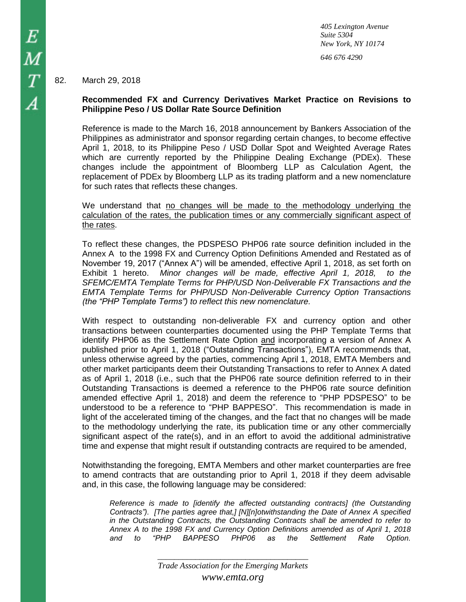*405 Lexington Avenue Suite 5304 New York, NY 10174 646 676 4290*

## 82. March 29, 2018

# **Recommended FX and Currency Derivatives Market Practice on Revisions to Philippine Peso / US Dollar Rate Source Definition**

Reference is made to the March 16, 2018 announcement by Bankers Association of the Philippines as administrator and sponsor regarding certain changes, to become effective April 1, 2018, to its Philippine Peso / USD Dollar Spot and Weighted Average Rates which are currently reported by the Philippine Dealing Exchange (PDEx). These changes include the appointment of Bloomberg LLP as Calculation Agent, the replacement of PDEx by Bloomberg LLP as its trading platform and a new nomenclature for such rates that reflects these changes.

We understand that no changes will be made to the methodology underlying the calculation of the rates, the publication times or any commercially significant aspect of the rates.

To reflect these changes, the PDSPESO PHP06 rate source definition included in the Annex A to the 1998 FX and Currency Option Definitions Amended and Restated as of November 19, 2017 ("Annex A") will be amended, effective April 1, 2018, as set forth on Exhibit 1 hereto. *Minor changes will be made, effective April 1, 2018, to the SFEMC/EMTA Template Terms for PHP/USD Non-Deliverable FX Transactions and the EMTA Template Terms for PHP/USD Non-Deliverable Currency Option Transactions (the "PHP Template Terms") to reflect this new nomenclature.*

With respect to outstanding non-deliverable FX and currency option and other transactions between counterparties documented using the PHP Template Terms that identify PHP06 as the Settlement Rate Option and incorporating a version of Annex A published prior to April 1, 2018 ("Outstanding Transactions"), EMTA recommends that, unless otherwise agreed by the parties, commencing April 1, 2018, EMTA Members and other market participants deem their Outstanding Transactions to refer to Annex A dated as of April 1, 2018 (i.e., such that the PHP06 rate source definition referred to in their Outstanding Transactions is deemed a reference to the PHP06 rate source definition amended effective April 1, 2018) and deem the reference to "PHP PDSPESO" to be understood to be a reference to "PHP BAPPESO". This recommendation is made in light of the accelerated timing of the changes, and the fact that no changes will be made to the methodology underlying the rate, its publication time or any other commercially significant aspect of the rate(s), and in an effort to avoid the additional administrative time and expense that might result if outstanding contracts are required to be amended,

Notwithstanding the foregoing, EMTA Members and other market counterparties are free to amend contracts that are outstanding prior to April 1, 2018 if they deem advisable and, in this case, the following language may be considered:

*Reference is made to [identify the affected outstanding contracts] (the Outstanding Contracts"). [The parties agree that,] [N][n]otwithstanding the Date of Annex A specified in the Outstanding Contracts, the Outstanding Contracts shall be amended to refer to Annex A to the 1998 FX and Currency Option Definitions amended as of April 1, 2018 and to "PHP BAPPESO PHP06 as the Settlement Rate Option.* 

*\_\_\_\_\_\_\_\_\_\_\_\_\_\_\_\_\_\_\_\_\_\_\_\_\_\_\_\_\_\_\_\_\_\_\_\_*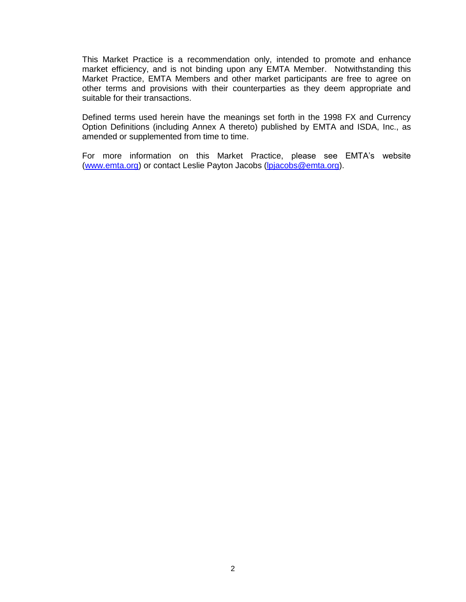This Market Practice is a recommendation only, intended to promote and enhance market efficiency, and is not binding upon any EMTA Member. Notwithstanding this Market Practice, EMTA Members and other market participants are free to agree on other terms and provisions with their counterparties as they deem appropriate and suitable for their transactions.

Defined terms used herein have the meanings set forth in the 1998 FX and Currency Option Definitions (including Annex A thereto) published by EMTA and ISDA, Inc., as amended or supplemented from time to time.

For more information on this Market Practice, please see EMTA's website [\(www.emta.org\)](http://www.emta.org/) or contact Leslie Payton Jacobs [\(lpjacobs@emta.org\)](mailto:lpjacobs@emta.org).